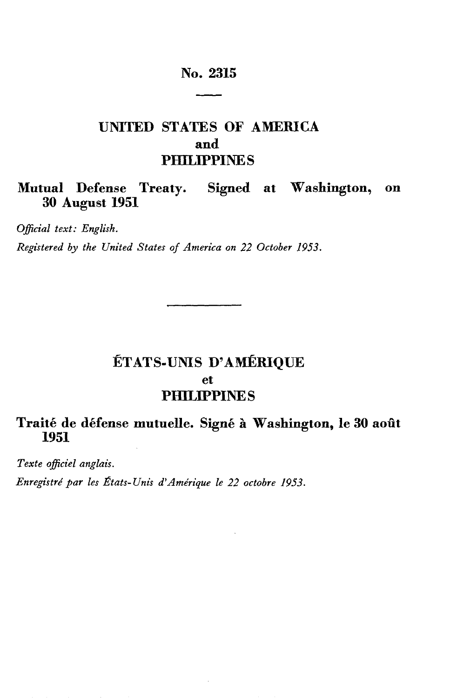## No. 2315

# **UNITED STATES OF AMERICA and PHILIPPINES**

# **Mutual Defense Treaty. Signed at Washington, on 30 August 1951**

*Official text: English.*

*Registered by the United States of America on 22 October 1953.*

# **ÉTATS-UNIS D'AMÉRIQUE et PHILIPPINES**

# **Traité de défense mutuelle. Signé à Washington, le 30 août 1951**

*Texte officiel anglais.*

*Enregistré par les États- Unis d'Amérique le 22 octobre 1953.*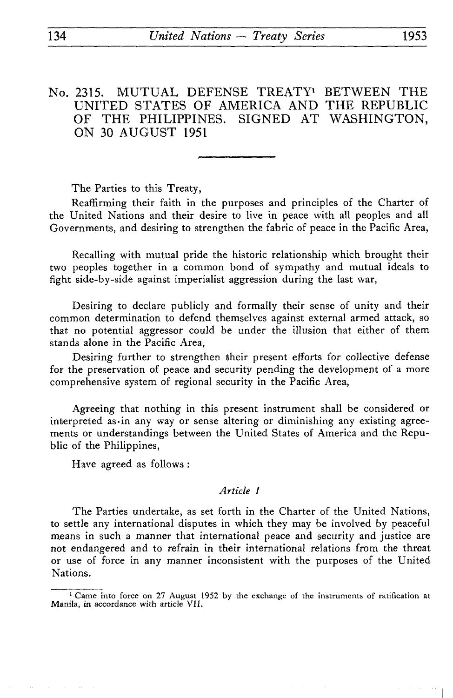No. 2315. MUTUAL DEFENSE TREATY1 BETWEEN THE UNITED STATES OF AMERICA AND THE REPUBLIC OF THE PHILIPPINES. SIGNED AT WASHINGTON, ON 30 AUGUST 1951

The Parties to this Treaty,

Reaffirming their faith in the purposes and principles of the Charter of the United Nations and their desire to live in peace with all peoples and all Governments, and desiring to strengthen the fabric of peace in the Pacific Area,

Recalling with mutual pride the historic relationship which brought their two peoples together in a common bond of sympathy and mutual ideals to fight side-by-side against imperialist aggression during the last war,

Desiring to declare publicly and formally their sense of unity and their common determination to defend themselves against external armed attack, so that no potential aggressor could be under the illusion that either of them stands alone in the Pacific Area,

Desiring further to strengthen their present efforts for collective defense for the preservation of peace and security pending the development of a more comprehensive system of regional security in the Pacific Area,

Agreeing that nothing in this present instrument shall be considered or interpreted as-in any way or sense altering or diminishing any existing agree ments or understandings between the United States of America and the Repu blic of the Philippines,

Have agreed as follows :

### *Article I*

The Parties undertake, as set forth in the Charter of the United Nations, to settle any international disputes in which they may be involved by peaceful means in such a manner that international peace and security and justice are not endangered and to refrain in their international relations from the threat or use of force in any manner inconsistent with the purposes of the United Nations.

<sup>&</sup>lt;sup>1</sup> Came into force on 27 August 1952 by the exchange of the instruments of ratification at Manila, in accordance with article VII.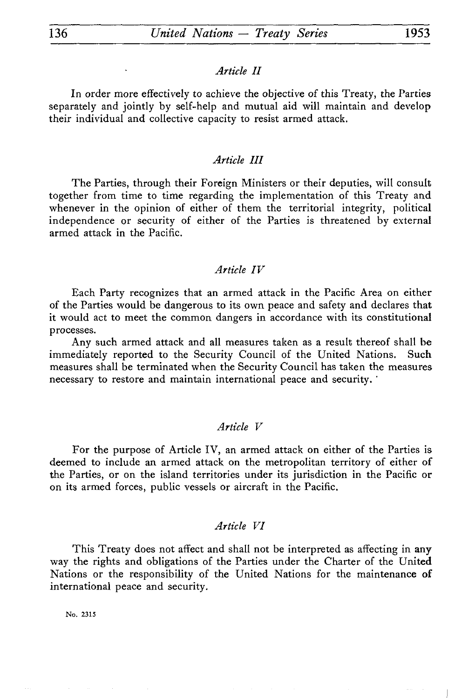## *Article II*

In order more effectively to achieve the objective of this Treaty, the Parties separately and jointly by self-help and mutual aid will maintain and develop their individual and collective capacity to resist armed attack.

#### *Article III*

The Parties, through their Foreign Ministers or their deputies, will consult together from time to time regarding the implementation of this Treaty and whenever in the opinion of either of them the territorial integrity, political independence or security of either of the Parties is threatened by external armed attack in the Pacific.

#### *Article IV*

Each Party recognizes that an armed attack in the Pacific Area on either of the Parties would be dangerous to its own peace and safety and declares that it would act to meet the common dangers in accordance with its constitutional processes.

Any such armed attack and all measures taken as a result thereof shall be ediately reported to the Security Council of the United Nations. Such immediately reported to the Security Council of the United Nations. measures shall be terminated when the Security Council has taken the measures necessary to restore and maintain international peace and security. '

#### *Article V*

For the purpose of Article IV, an armed attack on either of the Parties is deemed to include an armed attack on the metropolitan territory of either of the Parties, or on the island territories under its jurisdiction in the Pacific or on its armed forces, public vessels or aircraft in the Pacific.

#### *Article VI*

This Treaty does not affect and shall not be interpreted as affecting in any way the rights and obligations of the Parties under the Charter of the United Nations or the responsibility of the United Nations for the maintenance of international peace and security.

No. 2315